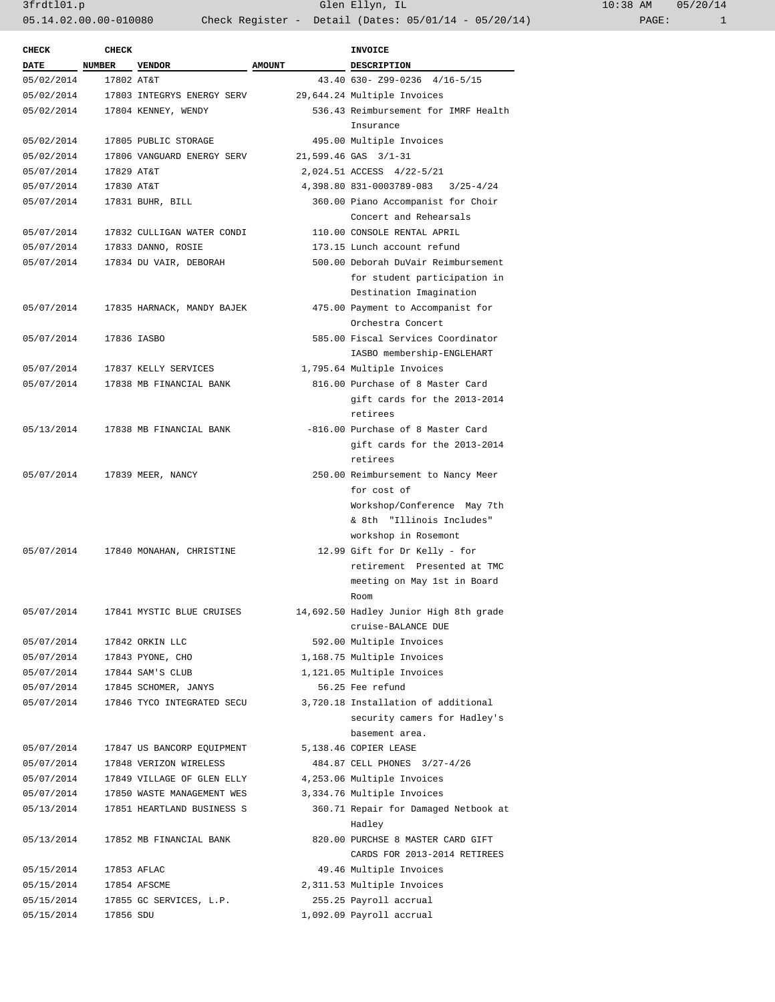3frdtl01.p Glen Ellyn, IL 10:38 AM 05/20/14 05.14.02.00.00-010080 Check Register - Detail (Dates: 05/01/14 - 05/20/14)

| <b>CHECK</b> | <b>CHECK</b>  |                            |               | INVOICE                                                  |
|--------------|---------------|----------------------------|---------------|----------------------------------------------------------|
| <b>DATE</b>  | <b>NUMBER</b> | <b>VENDOR</b>              | <b>AMOUNT</b> | <b>DESCRIPTION</b>                                       |
| 05/02/2014   | 17802 AT&T    |                            |               | 43.40 630- Z99-0236 4/16-5/15                            |
| 05/02/2014   |               | 17803 INTEGRYS ENERGY SERV |               | 29,644.24 Multiple Invoices                              |
| 05/02/2014   |               | 17804 KENNEY, WENDY        |               | 536.43 Reimbursement for IMRF Health                     |
|              |               |                            |               | Insurance                                                |
| 05/02/2014   |               | 17805 PUBLIC STORAGE       |               | 495.00 Multiple Invoices                                 |
| 05/02/2014   |               | 17806 VANGUARD ENERGY SERV |               | 21,599.46 GAS 3/1-31                                     |
| 05/07/2014   | 17829 AT&T    |                            |               | 2,024.51 ACCESS 4/22-5/21                                |
| 05/07/2014   | 17830 AT&T    |                            |               | 4,398.80 831-0003789-083 3/25-4/24                       |
| 05/07/2014   |               | 17831 BUHR, BILL           |               | 360.00 Piano Accompanist for Choir                       |
|              |               |                            |               | Concert and Rehearsals                                   |
| 05/07/2014   |               | 17832 CULLIGAN WATER CONDI |               | 110.00 CONSOLE RENTAL APRIL                              |
| 05/07/2014   |               | 17833 DANNO, ROSIE         |               | 173.15 Lunch account refund                              |
| 05/07/2014   |               | 17834 DU VAIR, DEBORAH     |               | 500.00 Deborah DuVair Reimbursement                      |
|              |               |                            |               | for student participation in                             |
|              |               |                            |               | Destination Imagination                                  |
| 05/07/2014   |               | 17835 HARNACK, MANDY BAJEK |               | 475.00 Payment to Accompanist for                        |
|              |               |                            |               | Orchestra Concert                                        |
| 05/07/2014   |               | 17836 IASBO                |               | 585.00 Fiscal Services Coordinator                       |
|              |               |                            |               | IASBO membership-ENGLEHART                               |
| 05/07/2014   |               | 17837 KELLY SERVICES       |               | 1,795.64 Multiple Invoices                               |
| 05/07/2014   |               | 17838 MB FINANCIAL BANK    |               | 816.00 Purchase of 8 Master Card                         |
|              |               |                            |               | gift cards for the 2013-2014                             |
|              |               |                            |               | retirees                                                 |
| 05/13/2014   |               | 17838 MB FINANCIAL BANK    |               | -816.00 Purchase of 8 Master Card                        |
|              |               |                            |               | gift cards for the 2013-2014                             |
|              |               |                            |               | retirees                                                 |
| 05/07/2014   |               | 17839 MEER, NANCY          |               | 250.00 Reimbursement to Nancy Meer                       |
|              |               |                            |               | for cost of                                              |
|              |               |                            |               | Workshop/Conference May 7th<br>& 8th "Illinois Includes" |
|              |               |                            |               | workshop in Rosemont                                     |
| 05/07/2014   |               | 17840 MONAHAN, CHRISTINE   |               | 12.99 Gift for Dr Kelly - for                            |
|              |               |                            |               | retirement Presented at TMC                              |
|              |               |                            |               | meeting on May 1st in Board                              |
|              |               |                            |               | Room                                                     |
| 05/07/2014   |               | 17841 MYSTIC BLUE CRUISES  |               | 14,692.50 Hadley Junior High 8th grade                   |
|              |               |                            |               | cruise-BALANCE DUE                                       |
| 05/07/2014   |               | 17842 ORKIN LLC            |               | 592.00 Multiple Invoices                                 |
| 05/07/2014   |               | 17843 PYONE, CHO           |               | 1,168.75 Multiple Invoices                               |
| 05/07/2014   |               | 17844 SAM'S CLUB           |               | 1,121.05 Multiple Invoices                               |
| 05/07/2014   |               | 17845 SCHOMER, JANYS       |               | 56.25 Fee refund                                         |
| 05/07/2014   |               | 17846 TYCO INTEGRATED SECU |               | 3,720.18 Installation of additional                      |
|              |               |                            |               | security camers for Hadley's                             |
|              |               |                            |               | basement area.                                           |
| 05/07/2014   |               | 17847 US BANCORP EQUIPMENT |               | 5,138.46 COPIER LEASE                                    |
| 05/07/2014   |               | 17848 VERIZON WIRELESS     |               | 484.87 CELL PHONES 3/27-4/26                             |
| 05/07/2014   |               | 17849 VILLAGE OF GLEN ELLY |               | 4,253.06 Multiple Invoices                               |
| 05/07/2014   |               | 17850 WASTE MANAGEMENT WES |               | 3,334.76 Multiple Invoices                               |
| 05/13/2014   |               | 17851 HEARTLAND BUSINESS S |               | 360.71 Repair for Damaged Netbook at                     |
|              |               |                            |               | Hadley                                                   |
| 05/13/2014   |               | 17852 MB FINANCIAL BANK    |               | 820.00 PURCHSE 8 MASTER CARD GIFT                        |
|              |               |                            |               | CARDS FOR 2013-2014 RETIREES                             |
| 05/15/2014   |               | 17853 AFLAC                |               | 49.46 Multiple Invoices                                  |
| 05/15/2014   |               | 17854 AFSCME               |               | 2,311.53 Multiple Invoices                               |
| 05/15/2014   |               | 17855 GC SERVICES, L.P.    |               | 255.25 Payroll accrual                                   |
| 05/15/2014   |               | 17856 SDU                  |               | 1,092.09 Payroll accrual                                 |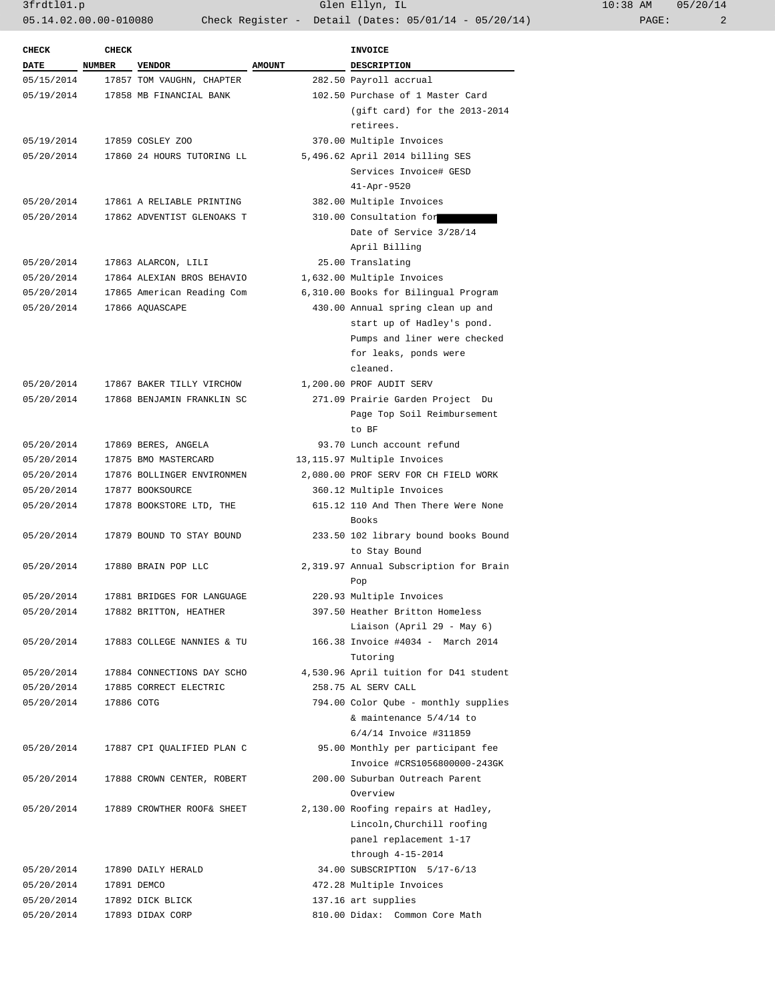3frdtl01.p Glen Ellyn, IL 10:38 AM 05/20/14 05.14.02.00.00-010080 Check Register - Detail (Dates: 05/01/14 - 05/20/14) PAGE: 2

| <b>CHECK</b>              | <b>CHECK</b> |                                            |               | <b>INVOICE</b>                                                  |
|---------------------------|--------------|--------------------------------------------|---------------|-----------------------------------------------------------------|
| <b>DATE</b><br>05/15/2014 | NUMBER       | <b>VENDOR</b><br>17857 TOM VAUGHN, CHAPTER | <b>AMOUNT</b> | <b>DESCRIPTION</b><br>282.50 Payroll accrual                    |
| 05/19/2014                |              | 17858 MB FINANCIAL BANK                    |               | 102.50 Purchase of 1 Master Card                                |
|                           |              |                                            |               | (gift card) for the 2013-2014<br>retirees.                      |
| 05/19/2014                |              | 17859 COSLEY ZOO                           |               | 370.00 Multiple Invoices                                        |
| 05/20/2014                |              | 17860 24 HOURS TUTORING LL                 |               | 5,496.62 April 2014 billing SES                                 |
|                           |              |                                            |               | Services Invoice# GESD<br>$41 - Apr - 9520$                     |
| 05/20/2014                |              | 17861 A RELIABLE PRINTING                  |               | 382.00 Multiple Invoices                                        |
| 05/20/2014                |              | 17862 ADVENTIST GLENOAKS T                 |               | 310.00 Consultation for                                         |
|                           |              |                                            |               | Date of Service 3/28/14<br>April Billing                        |
| 05/20/2014                |              | 17863 ALARCON, LILI                        |               | 25.00 Translating                                               |
| 05/20/2014                |              | 17864 ALEXIAN BROS BEHAVIO                 |               | 1,632.00 Multiple Invoices                                      |
| 05/20/2014                |              | 17865 American Reading Com                 |               | 6,310.00 Books for Bilingual Program                            |
| 05/20/2014                |              | 17866 AQUASCAPE                            |               | 430.00 Annual spring clean up and                               |
|                           |              |                                            |               | start up of Hadley's pond.                                      |
|                           |              |                                            |               | Pumps and liner were checked                                    |
|                           |              |                                            |               | for leaks, ponds were                                           |
|                           |              |                                            |               | cleaned.                                                        |
| 05/20/2014                |              | 17867 BAKER TILLY VIRCHOW                  |               | 1,200.00 PROF AUDIT SERV                                        |
| 05/20/2014                |              | 17868 BENJAMIN FRANKLIN SC                 |               | 271.09 Prairie Garden Project Du                                |
|                           |              |                                            |               | Page Top Soil Reimbursement                                     |
|                           |              |                                            |               | to BF                                                           |
| 05/20/2014                |              | 17869 BERES, ANGELA                        |               | 93.70 Lunch account refund                                      |
| 05/20/2014                |              | 17875 BMO MASTERCARD                       |               | 13,115.97 Multiple Invoices                                     |
| 05/20/2014                |              | 17876 BOLLINGER ENVIRONMEN                 |               | 2,080.00 PROF SERV FOR CH FIELD WORK                            |
| 05/20/2014                |              | 17877 BOOKSOURCE                           |               | 360.12 Multiple Invoices                                        |
| 05/20/2014                |              | 17878 BOOKSTORE LTD, THE                   |               | 615.12 110 And Then There Were None                             |
|                           |              |                                            |               | Books                                                           |
| 05/20/2014                |              | 17879 BOUND TO STAY BOUND                  |               | 233.50 102 library bound books Bound                            |
|                           |              |                                            |               | to Stay Bound                                                   |
| 05/20/2014                |              | 17880 BRAIN POP LLC                        |               | 2,319.97 Annual Subscription for Brain                          |
|                           |              |                                            |               | Pop                                                             |
| 05/20/2014                |              | 17881 BRIDGES FOR LANGUAGE                 |               | 220.93 Multiple Invoices                                        |
| 05/20/2014                |              | 17882 BRITTON, HEATHER                     |               | 397.50 Heather Britton Homeless                                 |
|                           |              | 17883 COLLEGE NANNIES & TU                 |               | Liaison (April 29 - May 6)<br>166.38 Invoice #4034 - March 2014 |
| 05/20/2014                |              |                                            |               | Tutoring                                                        |
| 05/20/2014                |              | 17884 CONNECTIONS DAY SCHO                 |               | 4,530.96 April tuition for D41 student                          |
| 05/20/2014                |              | 17885 CORRECT ELECTRIC                     |               | 258.75 AL SERV CALL                                             |
| 05/20/2014                | 17886 COTG   |                                            |               | 794.00 Color Qube - monthly supplies                            |
|                           |              |                                            |               | & maintenance $5/4/14$ to                                       |
|                           |              |                                            |               | 6/4/14 Invoice #311859                                          |
| 05/20/2014                |              | 17887 CPI QUALIFIED PLAN C                 |               | 95.00 Monthly per participant fee                               |
|                           |              |                                            |               | Invoice #CRS1056800000-243GK                                    |
| 05/20/2014                |              | 17888 CROWN CENTER, ROBERT                 |               | 200.00 Suburban Outreach Parent                                 |
|                           |              |                                            |               | Overview                                                        |
| 05/20/2014                |              | 17889 CROWTHER ROOF& SHEET                 |               | 2,130.00 Roofing repairs at Hadley,                             |
|                           |              |                                            |               | Lincoln, Churchill roofing                                      |
|                           |              |                                            |               | panel replacement 1-17                                          |
|                           |              |                                            |               | through $4-15-2014$                                             |
|                           |              |                                            |               | 34.00 SUBSCRIPTION 5/17-6/13                                    |
| 05/20/2014<br>05/20/2014  |              | 17890 DAILY HERALD                         |               | 472.28 Multiple Invoices                                        |
|                           |              | 17891 DEMCO                                |               |                                                                 |
| 05/20/2014                |              | 17892 DICK BLICK                           |               | 137.16 art supplies                                             |
| 05/20/2014                |              | 17893 DIDAX CORP                           |               | 810.00 Didax: Common Core Math                                  |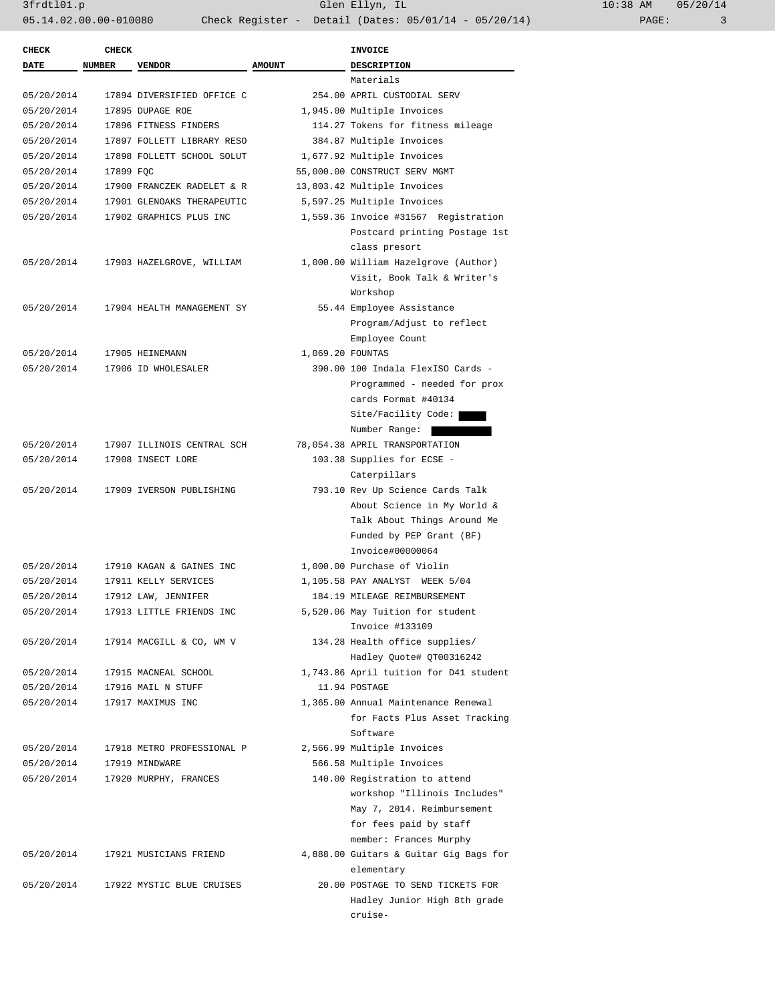3frdtl01.p Glen Ellyn, IL 10:38 AM 05/20/14 05.14.02.00.00-010080 Check Register - Detail (Dates: 05/01/14 - 05/20/14) PAGE: 3

| <b>CHECK</b> | <b>CHECK</b>  |                                   |                  | <b>INVOICE</b>                         |
|--------------|---------------|-----------------------------------|------------------|----------------------------------------|
| <b>DATE</b>  | <b>NUMBER</b> | <b>VENDOR</b>                     | <b>AMOUNT</b>    | <b>DESCRIPTION</b>                     |
|              |               |                                   |                  | Materials                              |
| 05/20/2014   |               | 17894 DIVERSIFIED OFFICE C        |                  | 254.00 APRIL CUSTODIAL SERV            |
| 05/20/2014   |               | 17895 DUPAGE ROE                  |                  | 1,945.00 Multiple Invoices             |
| 05/20/2014   |               | 17896 FITNESS FINDERS             |                  | 114.27 Tokens for fitness mileage      |
| 05/20/2014   |               | 17897 FOLLETT LIBRARY RESO        |                  | 384.87 Multiple Invoices               |
| 05/20/2014   |               | 17898 FOLLETT SCHOOL SOLUT        |                  | 1,677.92 Multiple Invoices             |
| 05/20/2014   | 17899 FQC     |                                   |                  | 55,000.00 CONSTRUCT SERV MGMT          |
| 05/20/2014   |               | 17900 FRANCZEK RADELET & R        |                  | 13,803.42 Multiple Invoices            |
| 05/20/2014   |               | 17901 GLENOAKS THERAPEUTIC        |                  | 5,597.25 Multiple Invoices             |
| 05/20/2014   |               | 17902 GRAPHICS PLUS INC           |                  | 1,559.36 Invoice #31567 Registration   |
|              |               |                                   |                  | Postcard printing Postage 1st          |
|              |               |                                   |                  | class presort                          |
| 05/20/2014   |               | 17903 HAZELGROVE, WILLIAM         |                  | 1,000.00 William Hazelgrove (Author)   |
|              |               |                                   |                  | Visit, Book Talk & Writer's            |
|              |               |                                   |                  | Workshop                               |
| 05/20/2014   |               | 17904 HEALTH MANAGEMENT SY        |                  | 55.44 Employee Assistance              |
|              |               |                                   |                  | Program/Adjust to reflect              |
|              |               |                                   |                  | Employee Count                         |
| 05/20/2014   |               | 17905 HEINEMANN                   | 1,069.20 FOUNTAS |                                        |
| 05/20/2014   |               | 17906 ID WHOLESALER               |                  | 390.00 100 Indala FlexISO Cards -      |
|              |               |                                   |                  | Programmed - needed for prox           |
|              |               |                                   |                  | cards Format #40134                    |
|              |               |                                   |                  | Site/Facility Code:                    |
|              |               |                                   |                  | Number Range:                          |
| 05/20/2014   |               | 17907 ILLINOIS CENTRAL SCH        |                  | 78,054.38 APRIL TRANSPORTATION         |
| 05/20/2014   |               | 17908 INSECT LORE                 |                  | 103.38 Supplies for ECSE -             |
|              |               |                                   |                  | Caterpillars                           |
| 05/20/2014   |               | 17909 IVERSON PUBLISHING          |                  | 793.10 Rev Up Science Cards Talk       |
|              |               |                                   |                  | About Science in My World &            |
|              |               |                                   |                  | Talk About Things Around Me            |
|              |               |                                   |                  | Funded by PEP Grant (BF)               |
|              |               |                                   |                  | Invoice#00000064                       |
| 05/20/2014   |               | 17910 KAGAN & GAINES INC          |                  | 1,000.00 Purchase of Violin            |
| 05/20/2014   |               | 17911 KELLY SERVICES              |                  | 1,105.58 PAY ANALYST WEEK 5/04         |
|              |               | 17912 LAW, JENNIFER               |                  | 184.19 MILEAGE REIMBURSEMENT           |
| 05/20/2014   |               |                                   |                  |                                        |
| 05/20/2014   |               | 17913 LITTLE FRIENDS INC          |                  | 5,520.06 May Tuition for student       |
|              |               |                                   |                  | Invoice #133109                        |
| 05/20/2014   |               | 17914 MACGILL & CO, WM V          |                  | 134.28 Health office supplies/         |
|              |               |                                   |                  | Hadley Quote# QT00316242               |
| 05/20/2014   |               | 17915 MACNEAL SCHOOL              |                  | 1,743.86 April tuition for D41 student |
| 05/20/2014   |               | 17916 MAIL N STUFF                |                  | 11.94 POSTAGE                          |
| 05/20/2014   |               | 17917 MAXIMUS INC                 |                  | 1,365.00 Annual Maintenance Renewal    |
|              |               |                                   |                  | for Facts Plus Asset Tracking          |
|              |               |                                   |                  | Software                               |
| 05/20/2014   |               | 17918 METRO PROFESSIONAL P        |                  | 2,566.99 Multiple Invoices             |
| 05/20/2014   |               | 17919 MINDWARE                    |                  | 566.58 Multiple Invoices               |
| 05/20/2014   |               | 17920 MURPHY, FRANCES             |                  | 140.00 Registration to attend          |
|              |               |                                   |                  | workshop "Illinois Includes"           |
|              |               |                                   |                  | May 7, 2014. Reimbursement             |
|              |               |                                   |                  | for fees paid by staff                 |
|              |               |                                   |                  | member: Frances Murphy                 |
|              |               | 05/20/2014 17921 MUSICIANS FRIEND |                  | 4,888.00 Guitars & Guitar Gig Bags for |
|              |               |                                   |                  | elementary                             |
| 05/20/2014   |               | 17922 MYSTIC BLUE CRUISES         |                  | 20.00 POSTAGE TO SEND TICKETS FOR      |
|              |               |                                   |                  | Hadley Junior High 8th grade           |
|              |               |                                   |                  | cruise-                                |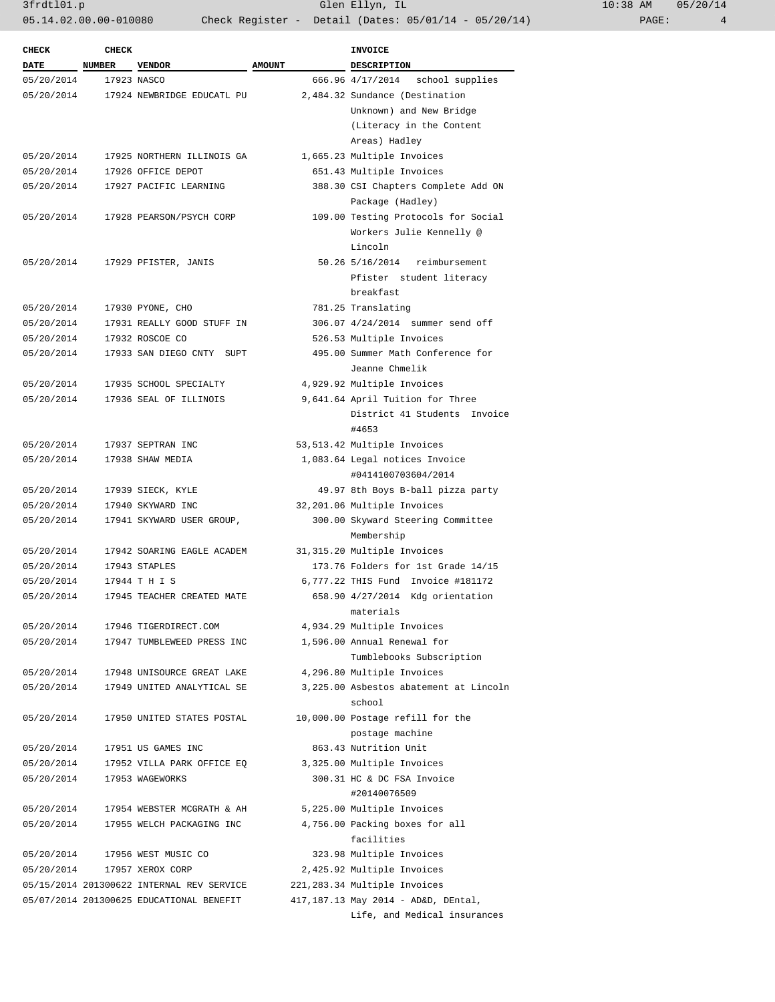3frdtl01.p Glen Ellyn, IL 10:38 AM 05/20/14 05.14.02.00.00-010080 Check Register - Detail (Dates: 05/01/14 - 05/20/14)

| <b>CHECK</b> | <b>CHECK</b>  |                                           |               | <b>INVOICE</b>                         |
|--------------|---------------|-------------------------------------------|---------------|----------------------------------------|
| DATE         | <b>NUMBER</b> | <b>VENDOR</b>                             | <b>AMOUNT</b> | DESCRIPTION                            |
| 05/20/2014   |               | 17923 NASCO                               |               | 666.96 4/17/2014<br>school supplies    |
| 05/20/2014   |               | 17924 NEWBRIDGE EDUCATL PU                |               | 2,484.32 Sundance (Destination         |
|              |               |                                           |               | Unknown) and New Bridge                |
|              |               |                                           |               | (Literacy in the Content               |
|              |               |                                           |               | Areas) Hadley                          |
| 05/20/2014   |               | 17925 NORTHERN ILLINOIS GA                |               | 1,665.23 Multiple Invoices             |
| 05/20/2014   |               | 17926 OFFICE DEPOT                        |               | 651.43 Multiple Invoices               |
| 05/20/2014   |               | 17927 PACIFIC LEARNING                    |               | 388.30 CSI Chapters Complete Add ON    |
|              |               |                                           |               | Package (Hadley)                       |
| 05/20/2014   |               | 17928 PEARSON/PSYCH CORP                  |               | 109.00 Testing Protocols for Social    |
|              |               |                                           |               | Workers Julie Kennelly @               |
|              |               |                                           |               | Lincoln                                |
| 05/20/2014   |               | 17929 PFISTER, JANIS                      |               | 50.26 5/16/2014<br>reimbursement       |
|              |               |                                           |               | Pfister student literacy               |
|              |               |                                           |               | breakfast                              |
| 05/20/2014   |               | 17930 PYONE, CHO                          |               | 781.25 Translating                     |
| 05/20/2014   |               | 17931 REALLY GOOD STUFF IN                |               | 306.07 4/24/2014 summer send off       |
| 05/20/2014   |               | 17932 ROSCOE CO                           |               | 526.53 Multiple Invoices               |
| 05/20/2014   |               | 17933 SAN DIEGO CNTY SUPT                 |               | 495.00 Summer Math Conference for      |
|              |               |                                           |               | Jeanne Chmelik                         |
| 05/20/2014   |               | 17935 SCHOOL SPECIALTY                    |               | 4,929.92 Multiple Invoices             |
| 05/20/2014   |               | 17936 SEAL OF ILLINOIS                    |               | 9,641.64 April Tuition for Three       |
|              |               |                                           |               | District 41 Students Invoice           |
|              |               |                                           |               | #4653                                  |
| 05/20/2014   |               | 17937 SEPTRAN INC                         |               | 53,513.42 Multiple Invoices            |
| 05/20/2014   |               | 17938 SHAW MEDIA                          |               | 1,083.64 Legal notices Invoice         |
|              |               |                                           |               | #0414100703604/2014                    |
| 05/20/2014   |               | 17939 SIECK, KYLE                         |               | 49.97 8th Boys B-ball pizza party      |
| 05/20/2014   |               | 17940 SKYWARD INC                         |               | 32,201.06 Multiple Invoices            |
| 05/20/2014   |               | 17941 SKYWARD USER GROUP,                 |               | 300.00 Skyward Steering Committee      |
|              |               |                                           |               | Membership                             |
| 05/20/2014   |               | 17942 SOARING EAGLE ACADEM                |               | 31,315.20 Multiple Invoices            |
| 05/20/2014   |               |                                           |               | 173.76 Folders for 1st Grade 14/15     |
| 05/20/2014   |               | 17943 STAPLES<br>17944 T H I S            |               | 6,777.22 THIS Fund Invoice #181172     |
| 05/20/2014   |               | 17945 TEACHER CREATED MATE                |               |                                        |
|              |               |                                           |               | 658.90 4/27/2014 Kdg orientation       |
|              |               | 17946 TIGERDIRECT.COM                     |               | materials                              |
| 05/20/2014   |               |                                           |               | 4,934.29 Multiple Invoices             |
| 05/20/2014   |               | 17947 TUMBLEWEED PRESS INC                |               | 1,596.00 Annual Renewal for            |
|              |               |                                           |               | Tumblebooks Subscription               |
| 05/20/2014   |               | 17948 UNISOURCE GREAT LAKE                |               | 4,296.80 Multiple Invoices             |
| 05/20/2014   |               | 17949 UNITED ANALYTICAL SE                |               | 3,225.00 Asbestos abatement at Lincoln |
|              |               |                                           |               | school                                 |
| 05/20/2014   |               | 17950 UNITED STATES POSTAL                |               | 10,000.00 Postage refill for the       |
|              |               |                                           |               | postage machine                        |
| 05/20/2014   |               | 17951 US GAMES INC                        |               | 863.43 Nutrition Unit                  |
| 05/20/2014   |               | 17952 VILLA PARK OFFICE EQ                |               | 3,325.00 Multiple Invoices             |
| 05/20/2014   |               | 17953 WAGEWORKS                           |               | 300.31 HC & DC FSA Invoice             |
|              |               |                                           |               | #20140076509                           |
| 05/20/2014   |               | 17954 WEBSTER MCGRATH & AH                |               | 5,225.00 Multiple Invoices             |
| 05/20/2014   |               | 17955 WELCH PACKAGING INC                 |               | 4,756.00 Packing boxes for all         |
|              |               |                                           |               | facilities                             |
| 05/20/2014   |               | 17956 WEST MUSIC CO                       |               | 323.98 Multiple Invoices               |
| 05/20/2014   |               | 17957 XEROX CORP                          |               | 2,425.92 Multiple Invoices             |
|              |               | 05/15/2014 201300622 INTERNAL REV SERVICE |               | 221,283.34 Multiple Invoices           |
|              |               | 05/07/2014 201300625 EDUCATIONAL BENEFIT  |               | 417,187.13 May 2014 - AD&D, DEntal,    |
|              |               |                                           |               | Life, and Medical insurances           |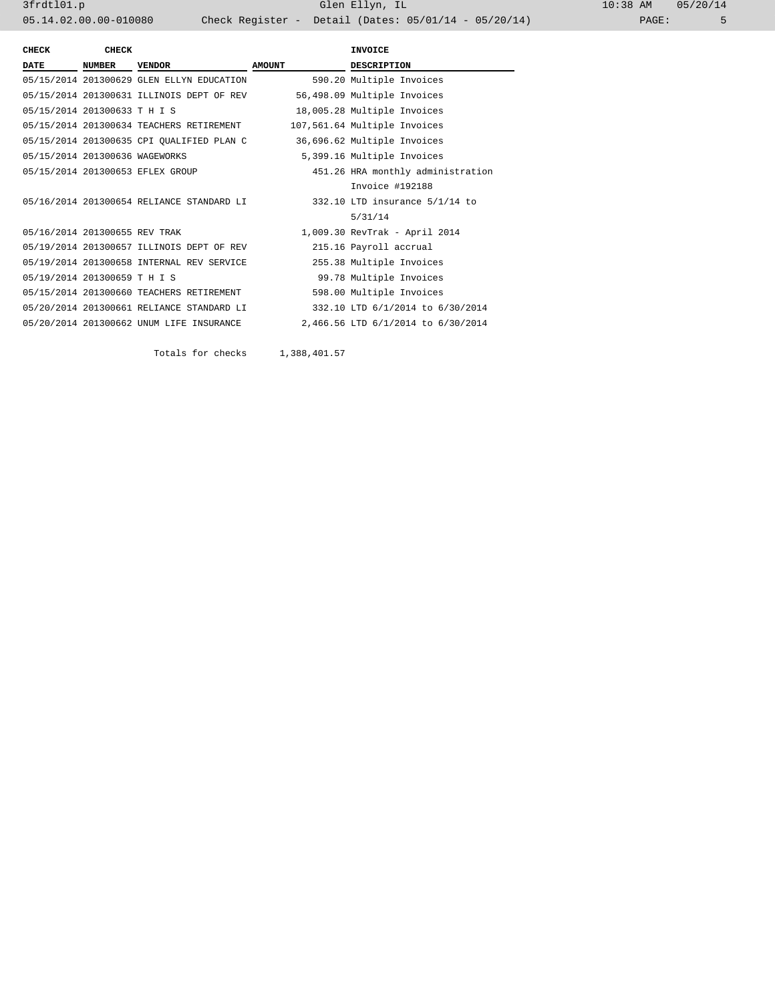3frdtl01.p Glen Ellyn, IL 10:38 AM 05/20/14 05.14.02.00.00-010080 Check Register - Detail (Dates: 05/01/14 - 05/20/14) PAGE: 5

| <b>CHECK</b>                   | <b>CHECK</b> |                                           |               | <b>INVOICE</b>                     |
|--------------------------------|--------------|-------------------------------------------|---------------|------------------------------------|
| <b>DATE</b>                    | NUMBER       | <b>VENDOR</b>                             | <b>AMOUNT</b> | <b>DESCRIPTION</b>                 |
|                                |              | 05/15/2014 201300629 GLEN ELLYN EDUCATION |               | 590.20 Multiple Invoices           |
|                                |              | 05/15/2014 201300631 ILLINOIS DEPT OF REV |               | 56,498.09 Multiple Invoices        |
| 05/15/2014 201300633 T H I S   |              |                                           |               | 18,005.28 Multiple Invoices        |
|                                |              | 05/15/2014 201300634 TEACHERS RETIREMENT  |               | 107,561.64 Multiple Invoices       |
|                                |              | 05/15/2014 201300635 CPI QUALIFIED PLAN C |               | 36,696.62 Multiple Invoices        |
| 05/15/2014 201300636 WAGEWORKS |              |                                           |               | 5,399.16 Multiple Invoices         |
|                                |              | 05/15/2014 201300653 EFLEX GROUP          |               | 451.26 HRA monthly administration  |
|                                |              |                                           |               | Invoice #192188                    |
|                                |              | 05/16/2014 201300654 RELIANCE STANDARD LI |               | 332.10 LTD insurance 5/1/14 to     |
|                                |              |                                           |               | 5/31/14                            |
| 05/16/2014 201300655 REV TRAK  |              |                                           |               | 1,009.30 RevTrak - April 2014      |
|                                |              | 05/19/2014 201300657 ILLINOIS DEPT OF REV |               | 215.16 Payroll accrual             |
|                                |              | 05/19/2014 201300658 INTERNAL REV SERVICE |               | 255.38 Multiple Invoices           |
| 05/19/2014 201300659 T H I S   |              |                                           |               | 99.78 Multiple Invoices            |
|                                |              | 05/15/2014 201300660 TEACHERS RETIREMENT  |               | 598.00 Multiple Invoices           |
|                                |              | 05/20/2014 201300661 RELIANCE STANDARD LI |               | 332.10 LTD 6/1/2014 to 6/30/2014   |
|                                |              | 05/20/2014 201300662 UNUM LIFE INSURANCE  |               | 2,466.56 LTD 6/1/2014 to 6/30/2014 |
|                                |              |                                           |               |                                    |

Totals for checks 1,388,401.57